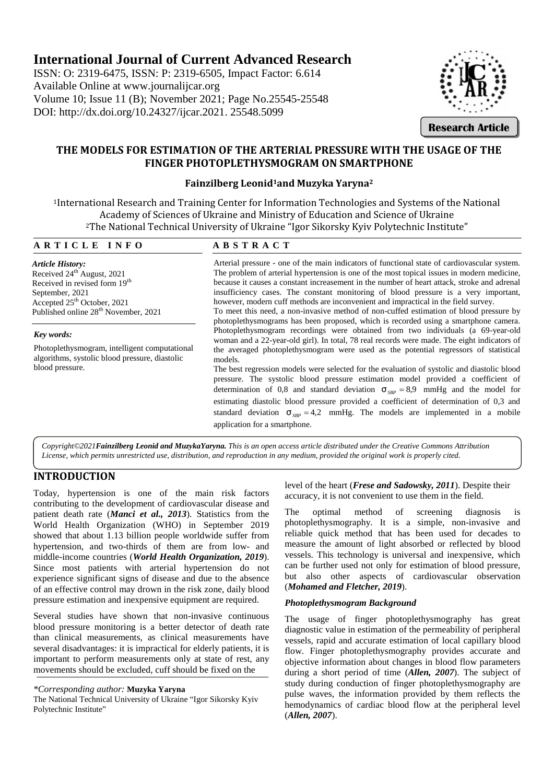# **International Journal of Current Advanced Research**

ISSN: O: 2319-6475, ISSN: P: 2319-6505, Impact Factor: 6.614 Available Online at www.journalijcar.org Volume 10; Issue 11 (B); November 2021; Page No.25545-25548 DOI: http://dx.doi.org/10.24327/ijcar.2021. 25548.5099



**Research Article**

## **THE MODELS FOR ESTIMATION OF THE ARTERIAL PRESSURE WITH THE USAGE OF THE FINGER PHOTOPLETHYSMOGRAM ON SMARTPHONE**

## **Fainzilberg Leonid1and Muzyka Yaryna<sup>2</sup> Leonid**

<sup>1</sup>International Research and Training Center for Information Technologies and Systems of the National Academy of Sciences of Ukraine and Ministry of Education and Science of Ukraine <sup>2</sup>The National Technical University of Ukraine "Igor Sikorsky Kyiv Polytechnic Institute" <sup>1</sup>International Research and Training Center for Information Tec<br>
Academy of Sciences of Ukraine and Ministry of Educa<br>
<sup>2</sup>The National Technical University of Ukraine "Igor Sikor<br> **A R T I C L E I N F O**<br> **A B S T R A C** Systems of the National Functional Research and Training Center for Information Technologies and Systems of the National<br>
Academy of Sciences of Ukraine and Ministry of Education and Science of Ukraine<br>
<sup>2</sup>The National Technical University of Uk

*Article History:* Received 24th August, 2021 Received in revised form 19<sup>th</sup> September, 2021 Accepted 25th October, 2021 Published online 28<sup>th</sup> November, 2021

### *Key words:*

Photoplethysmogram, intelligent computational algorithms, systolic blood pressure, diastolic blood pressure.

Arterial pressure - one of the main indicators of functional state of cardiovascular system. The problem of arterial hypertension is one of the most topical issues in modern medicine, because it causes a constant increasement in the number of heart attack, stroke and adrenal insufficiency cases. The constant monitoring of blood pressure is a very important, however, modern cuff methods are inconvenient and impractical in the field survey.

To meet this need, a non-invasive method of non-cuffed estimation of blood pressure by photoplethysmograms has been proposed, which is recorded using a smartphone camera. Photoplethysmogram recordings were obtained from two individuals (a 69-year-old woman and a 22-year-old girl). In total, 78 real records were made. The eight indicators of the averaged photoplethysmogram were used as the potential regressors of statistical models. iency cases. The constant monitoring of blood pressure is a very important, r, modern cuff methods are inconvenient and impractical in the field survey.<br>
t this need, a non-invasive method of non-cuffed estimation of blood

The best regression models were selected for the evaluation of systolic and diastolic blood The best regression models were selected for the evaluation of systolic and diastolic blood pressure. The systolic blood pressure estimation model provided a coefficient of determination of 0,8 and standard deviation  $\tau_{SBP} = 8.9$  mmHg and the model for estimating diastolic blood pressure provided a coefficient of determination of 0,3 and estimating diastolic blood pressure provided a coefficient of determination of 0,3 and standard deviation  $\tau_{SBP} = 4.2$  mmHg. The models are implemented in a mobile application for a smartphone.

*Copyright©2021Fainzilberg Leonid and MuzykaYaryna. This is an open access article distributed under the Creative Commons Attribution License, which permits unrestricted use, distribution, and reproduction in any medium, provided the original work is properly cited.*

## **INTRODUCTION**

Today, hypertension is one of the main risk factors Today, hypertension is one of the main risk factors accumulation accumulation accumulation contributing to the development of cardiovascular disease and patient death rate (*Manci et al., 2013*). Statistics from the World Health Organization (WHO) in September 2019 showed that about 1.13 billion people worldwide suffer from patient death rate (*Manci et al.*, 2013). Statistics from the<br> *2019* World Health Organization (WHO) in September 2019 photos<br>
showed that about 1.13 billion people worldwide suffer from relial<br>
hypertension, and two-thi middle-income countries (*World Health Organization, 2019*). Since most patients with arterial hypertension do not experience significant signs of disease and due to the absence of an effective control may drown in the risk zone, daily blood pressure estimation and inexpensive equipment are required. Today, hypertension is one of the main risk factors<br>
evelopment of certain risk factors<br>
evelopment of cardiovascular disease and<br>
eccuracy, it is not convenient to use them in the field.<br>
Word Health Organization (WHO) in **INTERNATION CONSULTERING THE CONSULTERING THE CONSULTERING CONSULTERING THE CONSULTERING CONSULTERING CONSULTERING CONSULTERING CONSULTERING CONSULTERING CONSULTERING CONSULTERING CONSULTERING CONSULTERING CONSULTERING CO** 

Several studies have shown that non-invasive continuous blood pressure monitoring is a better detector of death rate than clinical measurements, as clinical measurements have several disadvantages: it is impractical for elderly patients, it is important to perform measurements only at state of rest, any movements should be excluded, cuff should be fixed on the

*\*Corresponding author:* **Muzyka Yaryna**

The National Technical University of Ukraine "Igor Sikorsky Kyiv Polytechnic Institute"

level of the heart (*Frese and Sadowsky, 2011*). Despite their accuracy, it is not convenient to use them in the field.

The optimal method of screening diagnosis is photoplethysmography. It is a simple, non-invasive and reliable quick method that has been used for decades to measure the amount of light absorbed or reflected by blood vessels. This technology is universal and inexpensive, which can be further used not only for estimation of blood pressure, but also other aspects of cardiovascular observation (*Mohamed and Fletcher, 2019*).

### *Photoplethysmogram Background*

The usage of finger photoplethysmography has great diagnostic value in estimation of the permeability of peripheral vessels, rapid and accurate estimation of local capillary blood flow. Finger photoplethysmography provides accurate and objective information about changes in blood flow parameters during a short period of time (*Allen, 2007*). The subject of study during conduction of finger photoplethysmography are pulse waves, the information provided by them reflects the hemodynamics of cardiac blood flow at the peripheral level (*Allen, 2007*).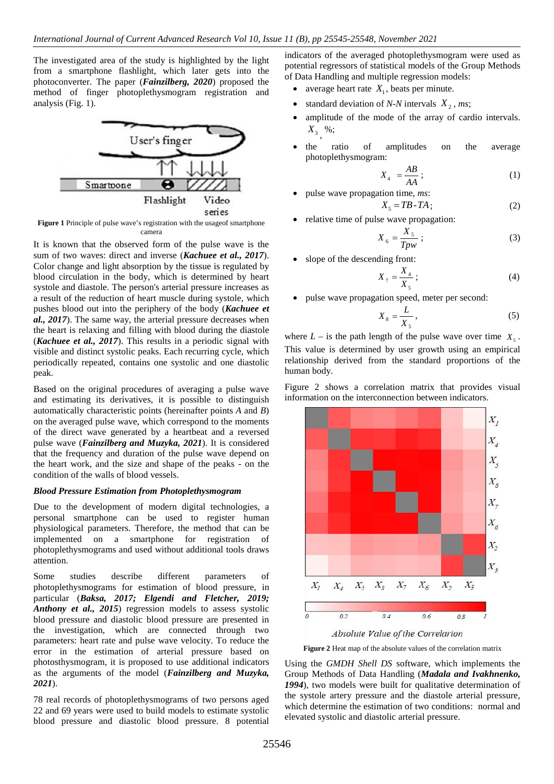The investigated area of the study is highlighted by the light from a smartphone flashlight, which later gets into the photoconverter. The paper (*Fainzilberg, 2020*) proposed the method of finger photoplethysmogram registration and analysis (Fig. 1).



**Figure 1** Principle of pulse wave's registration with the usage of smartphone camera

It is known that the observed form of the pulse wave is the sum of two waves: direct and inverse (*Kachuee et al., 2017*). Color change and light absorption by the tissue is regulated by blood circulation in the body, which is determined by heart systole and diastole. The person's arterial pressure increases as a result of the reduction of heart muscle during systole, which pushes blood out into the periphery of the body (*Kachuee et al., 2017*). The same way, the arterial pressure decreases when the heart is relaxing and filling with blood during the diastole (*Kachuee et al., 2017*). This results in a periodic signal with visible and distinct systolic peaks. Each recurring cycle, which periodically repeated, contains one systolic and one diastolic peak.

Based on the original procedures of averaging a pulse wave and estimating its derivatives, it is possible to distinguish automatically characteristic points (hereinafter points *A* and *B*) on the averaged pulse wave, which correspond to the moments of the direct wave generated by a heartbeat and a reversed pulse wave (*Fainzilberg and Muzyka, 2021*). It is considered that the frequency and duration of the pulse wave depend on the heart work, and the size and shape of the peaks - on the condition of the walls of blood vessels.

#### *Blood Pressure Estimation from Photoplethysmogram*

Due to the development of modern digital technologies, a personal smartphone can be used to register human physiological parameters. Therefore, the method that can be implemented on a smartphone for registration of photoplethysmograms and used without additional tools draws attention.

Some studies describe different parameters of photoplethysmograms for estimation of blood pressure, in particular (*Baksa, 2017; Elgendi and Fletcher, 2019; Anthony et al., 2015*) regression models to assess systolic blood pressure and diastolic blood pressure are presented in the investigation, which are connected through two parameters: heart rate and pulse wave velocity. To reduce the error in the estimation of arterial pressure based on photosthysmogram, it is proposed to use additional indicators as the arguments of the model (*Fainzilberg and Muzyka, 2021*).

78 real records of photoplethysmograms of two persons aged 22 and 69 years were used to build models to estimate systolic blood pressure and diastolic blood pressure. 8 potential indicators of the averaged photoplethysmogram were used as potential regressors of statistical models of the Group Methods of Data Handling and multiple regression models:

- average heart rate  $X_1$ , beats per minute.
- standard deviation of *N-N* intervals  $X_2$ , *ms*;
- amplitude of the mode of the array of cardio intervals.  $X_3^{},$  %;
- the ratio of amplitudes on the average photoplethysmogram:

$$
X_4 = \frac{AB}{AA};\tag{1}
$$

pulse wave propagation time, *ms*:

$$
X_5 = T B - T A; \tag{2}
$$

relative time of pulse wave propagation:

$$
X_6 = \frac{X_5}{Tpw};\tag{3}
$$

• slope of the descending front:

$$
X_{7} = \frac{X_4}{X_5} \tag{4}
$$

pulse wave propagation speed, meter per second:

$$
X_8 = \frac{L}{X_5},\tag{5}
$$

where  $L -$  is the path length of the pulse wave over time  $X_5$ . This value is determined by user growth using an empirical relationship derived from the standard proportions of the human body.

Figure 2 shows a correlation matrix that provides visual information on the interconnection between indicators.



Absolute Value of the Correlarion

**Figure 2** Heat map of the absolute values of the correlation matrix

Using the *GMDH Shell DS* software, which implements the Group Methods of Data Handling (*Madala and Ivakhnenko, 1994*), two models were built for qualitative determination of the systole artery pressure and the diastole arterial pressure, which determine the estimation of two conditions: normal and elevated systolic and diastolic arterial pressure.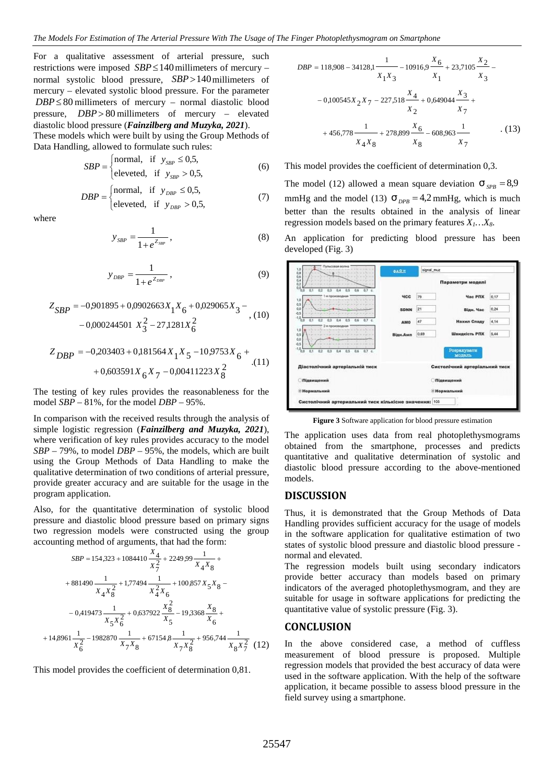For a qualitative assessment of arterial pressure, such restrictions were imposed  $SBP \le 140$  millimeters of mercury – normal systolic blood pressure,  $SBP > 140$ millimeters of mercury – elevated systolic blood pressure. For the parameter  $DBP \leq 80$  millimeters of mercury – normal diastolic blood pressure, *DBP* > 80 millimeters of mercury – elevated diastolic blood pressure (*Fainzilberg and Muzyka, 2021*).

These models which were built by using the Group Methods of Data Handling, allowed to formulate such rules:

$$
SBP = \begin{cases} \text{normal, if } y_{SBP} \le 0.5, \\ \text{eleveted, if } y_{SBP} > 0.5, \end{cases}
$$
 (6) This model prov

$$
DBP = \begin{cases} \text{normal, if } y_{DBP} \le 0.5, & \text{the linear (12)} \\ \text{eleveted, if } y_{DBP} > 0.5, & \text{(7)} \\ \text{hetter, then the
$$

where

$$
y_{SBP} = \frac{1}{1 + e^{Z_{SBP}}},
$$
 (8) An  $\varepsilon$ 

$$
y_{\text{DBP}} = \frac{1}{1 + e^{Z_{\text{DBP}}}} \,, \tag{9}
$$

$$
Z_{SBP} = -0.901895 + 0.0902663X_1X_6 + 0.029065X_3 -
$$
  
-0.000244501 X<sub>3</sub><sup>2</sup> - 27,1281X<sub>6</sub><sup>2</sup>

$$
Z_{DBP} = -0.203403 + 0.181564 X_{1} X_{5} - 10.9753 X_{6} + ... + 0.603591 X_{6} X_{7} - 0.00411223 X_{8}^{2}
$$
 (11)

The testing of key rules provides the reasonableness for the model *SBP* –81%, for the model *DBP* – 95%.

In comparison with the received results through the analysis of simple logistic regression (*Fainzilberg and Muzyka, 2021*), where verification of key rules provides accuracy to the model *SBP* –79%, to model *DBP* – 95%, the models, which are built using the Group Methods of Data Handling to make the qualitative determination of two conditions of arterial pressure, provide greater accuracy and are suitable for the usage in the program application.

Also, for the quantitative determination of systolic blood pressure and diastolic blood pressure based on primary signs two regression models were constructed using the group accounting method of arguments, that had the form:

$$
SBP = 154,323 + 1084410 \frac{X_4}{X_7^2} + 2249,99 \frac{1}{X_4 X_8} +
$$
  
\n+ 881490  $\frac{1}{X_4 X_8^2} + 1,77494 \frac{1}{X_4^2 X_6} + 100,857 X_5 X_8 -$   
\n+ 881490  $\frac{1}{X_4 X_8^2} + 1,77494 \frac{1}{X_4^2 X_6} + 100,857 X_5 X_8 -$   
\n= 0,419473  $\frac{1}{X_5 X_6^2} + 0,637922 \frac{X_8^2}{X_5} - 19,3368 \frac{X_8}{X_6} +$   
\n= 0,419473  $\frac{1}{X_5 X_6^2}$   
\n+ 14,8961  $\frac{1}{X_6^2}$  - 1982870  $\frac{1}{X_7 X_8}$  + 67154.8  $\frac{1}{X_7 X_8^2}$  + 956,744  $\frac{1}{X_8 X_7^2}$  (12) In the above considered case, a method of cuffless  
\nmomentes of black squares are  
\nmomentes of black squares, a method of cuffless

This model provides the coefficient of determination 0,81.

$$
DBP = 118,908 - 34128,1 \frac{1}{X_1 X_3} - 10916,9 \frac{X_6}{X_1} + 23,7105 \frac{X_2}{X_3} - 0,100545X_2 X_7 - 227,518 \frac{X_4}{X_2} + 0,649044 \frac{X_3}{X_7} + 456,778 \frac{1}{X_4 X_8} + 278,899 \frac{X_6}{X_8} - 608,963 \frac{1}{X_7}
$$
 (13)

#### This model provides the coefficient of determination 0,3.

 $> 0.5$ , (7) mmHg and the model (13)  $\tau_{DPB} = 4.2$  mmHg, which is much The model (12) allowed a mean square deviation  $\dot{\mathcal{L}}_{SPB} = 8.9$ better than the results obtained in the analysis of linear regression models based on the primary features *X1…X8*.

> An application for predicting blood pressure has been developed (Fig. 3)

| (9)                    | Пульсовая волн<br>1,0<br>0.8                                                          | <b>GART</b>         | signal_muz |                               |      |
|------------------------|---------------------------------------------------------------------------------------|---------------------|------------|-------------------------------|------|
|                        | 0.6<br>0.4<br>0.0<br>0.7 <sub>c</sub><br>0.1<br>αo<br>0.2<br>0.3<br>0.4<br>0.5<br>0.6 |                     |            | Параметри моделі              |      |
|                        | 1,0                                                                                   | <b>YCC</b>          | 79         | <b><i><u>Hac PNX</u></i></b>  | 0,17 |
| $55X_3 -$<br>, (10)    | 0,5<br>0.0<br>$-0.5$                                                                  | <b>SDNN</b>         | 21         | Відн. Час                     | 0.24 |
|                        | (1.0)<br>0.1<br>0.2<br>0.3<br>07c<br>00<br>0.4<br>0.5<br>7-я произвольн               | AMO                 | 47         | Нахил Спаду                   | 4,14 |
|                        | 1,0<br>0,5<br>0.0<br>0.5                                                              | Відн.Амп            | 0,69       | Швидкість РПХ                 | 5,44 |
| $53X_{6} +$            | $-10$<br>0.1<br>0.7 <sub>c</sub><br>0.2<br>οø<br><b>D3</b><br>0.5<br>0.6              |                     |            | Розракувати<br>модаль         |      |
| (11)<br>$\overline{c}$ | Діастолічний артеріальній тиск                                                        |                     |            | Систолічний артеріальний тиск |      |
| 8                      | <b>Підвищений</b>                                                                     | <b>Підвищений</b>   |            |                               |      |
| eness for the          | <b>• Нормальний</b>                                                                   | <b>• Нормальний</b> |            |                               |      |
|                        | Систолічний артериальний тиск кількісне значення: 103                                 |                     |            |                               |      |

**Figure 3** Software application for blood pressure estimation

The application uses data from real photoplethysmograms obtained from the smartphone, processes and predicts quantitative and qualitative determination of systolic and diastolic blood pressure according to the above-mentioned models.

## **DISCUSSION**

Thus, it is demonstrated that the Group Methods of Data Handling provides sufficient accuracy for the usage of models in the software application for qualitative estimation of two states of systolic blood pressure and diastolic blood pressure -

6 suitable for usage in software applications for predicting the 1 1 100 957 Y provide better accuracy than models based on primary  $\frac{4}{x_7^2}$  + 2249,99  $\frac{1}{x_4 x_8}$  + normal and elevated.  $+881490\frac{1}{x_1 x_2^2} +1,77494\frac{1}{x_1^2 x_1} +100,857 x_5 x_8 - \text{indicators of the averaged photoplethysmogram, and they are}$ 

measurement of blood pressure is proposed. Multiple regression models that provided the best accuracy of data were used in the software application. With the help of the software application, it became possible to assess blood pressure in the field survey using a smartphone.